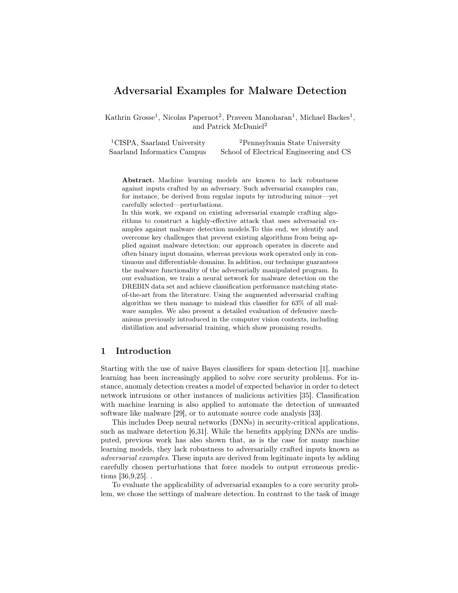# Adversarial Examples for Malware Detection

Kathrin Grosse<sup>1</sup>, Nicolas Papernot<sup>2</sup>, Praveen Manoharan<sup>1</sup>, Michael Backes<sup>1</sup>, and Patrick McDaniel<sup>2</sup>

<sup>1</sup>CISPA, Saarland University <sup>2</sup>Pennsylvania State University Saarland Informatics Campus School of Electrical Engineering and CS

Abstract. Machine learning models are known to lack robustness against inputs crafted by an adversary. Such adversarial examples can, for instance, be derived from regular inputs by introducing minor—yet carefully selected—perturbations.

In this work, we expand on existing adversarial example crafting algorithms to construct a highly-effective attack that uses adversarial examples against malware detection models.To this end, we identify and overcome key challenges that prevent existing algorithms from being applied against malware detection: our approach operates in discrete and often binary input domains, whereas previous work operated only in continuous and differentiable domains. In addition, our technique guarantees the malware functionality of the adversarially manipulated program. In our evaluation, we train a neural network for malware detection on the DREBIN data set and achieve classification performance matching stateof-the-art from the literature. Using the augmented adversarial crafting algorithm we then manage to mislead this classifier for 63% of all malware samples. We also present a detailed evaluation of defensive mechanisms previously introduced in the computer vision contexts, including distillation and adversarial training, which show promising results.

# 1 Introduction

Starting with the use of naive Bayes classifiers for spam detection [1], machine learning has been increasingly applied to solve core security problems. For instance, anomaly detection creates a model of expected behavior in order to detect network intrusions or other instances of malicious activities [35]. Classification with machine learning is also applied to automate the detection of unwanted software like malware [29], or to automate source code analysis [33].

This includes Deep neural networks (DNNs) in security-critical applications, such as malware detection [6,31]. While the benefits applying DNNs are undisputed, previous work has also shown that, as is the case for many machine learning models, they lack robustness to adversarially crafted inputs known as adversarial examples. These inputs are derived from legitimate inputs by adding carefully chosen perturbations that force models to output erroneous predictions [36,9,25]. .

To evaluate the applicability of adversarial examples to a core security problem, we chose the settings of malware detection. In contrast to the task of image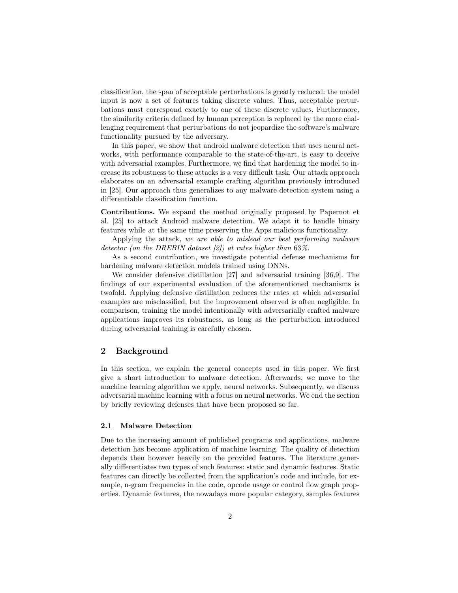classification, the span of acceptable perturbations is greatly reduced: the model input is now a set of features taking discrete values. Thus, acceptable perturbations must correspond exactly to one of these discrete values. Furthermore, the similarity criteria defined by human perception is replaced by the more challenging requirement that perturbations do not jeopardize the software's malware functionality pursued by the adversary.

In this paper, we show that android malware detection that uses neural networks, with performance comparable to the state-of-the-art, is easy to deceive with adversarial examples. Furthermore, we find that hardening the model to increase its robustness to these attacks is a very difficult task. Our attack approach elaborates on an adversarial example crafting algorithm previously introduced in [25]. Our approach thus generalizes to any malware detection system using a differentiable classification function.

Contributions. We expand the method originally proposed by Papernot et al. [25] to attack Android malware detection. We adapt it to handle binary features while at the same time preserving the Apps malicious functionality.

Applying the attack, we are able to mislead our best performing malware detector (on the DREBIN dataset [2]) at rates higher than 63%.

As a second contribution, we investigate potential defense mechanisms for hardening malware detection models trained using DNNs.

We consider defensive distillation [27] and adversarial training [36,9]. The findings of our experimental evaluation of the aforementioned mechanisms is twofold. Applying defensive distillation reduces the rates at which adversarial examples are misclassified, but the improvement observed is often negligible. In comparison, training the model intentionally with adversarially crafted malware applications improves its robustness, as long as the perturbation introduced during adversarial training is carefully chosen.

# 2 Background

In this section, we explain the general concepts used in this paper. We first give a short introduction to malware detection. Afterwards, we move to the machine learning algorithm we apply, neural networks. Subsequently, we discuss adversarial machine learning with a focus on neural networks. We end the section by briefly reviewing defenses that have been proposed so far.

#### 2.1 Malware Detection

Due to the increasing amount of published programs and applications, malware detection has become application of machine learning. The quality of detection depends then however heavily on the provided features. The literature generally differentiates two types of such features: static and dynamic features. Static features can directly be collected from the application's code and include, for example, n-gram frequencies in the code, opcode usage or control flow graph properties. Dynamic features, the nowadays more popular category, samples features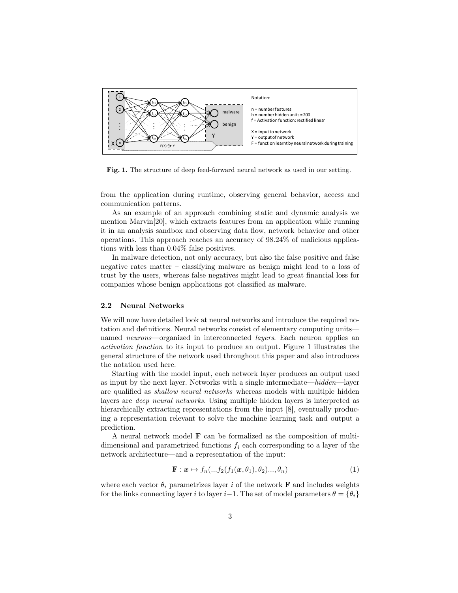

Fig. 1. The structure of deep feed-forward neural network as used in our setting.

from the application during runtime, observing general behavior, access and communication patterns.

As an example of an approach combining static and dynamic analysis we mention Marvin[20], which extracts features from an application while running it in an analysis sandbox and observing data flow, network behavior and other operations. This approach reaches an accuracy of 98.24% of malicious applications with less than 0.04% false positives.

In malware detection, not only accuracy, but also the false positive and false negative rates matter – classifying malware as benign might lead to a loss of trust by the users, whereas false negatives might lead to great financial loss for companies whose benign applications got classified as malware.

#### 2.2 Neural Networks

We will now have detailed look at neural networks and introduce the required notation and definitions. Neural networks consist of elementary computing units named neurons—organized in interconnected layers. Each neuron applies an activation function to its input to produce an output. Figure 1 illustrates the general structure of the network used throughout this paper and also introduces the notation used here.

Starting with the model input, each network layer produces an output used as input by the next layer. Networks with a single intermediate—hidden—layer are qualified as shallow neural networks whereas models with multiple hidden layers are deep neural networks. Using multiple hidden layers is interpreted as hierarchically extracting representations from the input [8], eventually producing a representation relevant to solve the machine learning task and output a prediction.

A neural network model F can be formalized as the composition of multidimensional and parametrized functions  $f_i$  each corresponding to a layer of the network architecture—and a representation of the input:

$$
\mathbf{F}: \mathbf{x} \mapsto f_n(...f_2(f_1(\mathbf{x}, \theta_1), \theta_2)...,\theta_n)
$$
\n(1)

where each vector  $\theta_i$  parametrizes layer i of the network **F** and includes weights for the links connecting layer i to layer i–1. The set of model parameters  $\theta = {\theta_i}$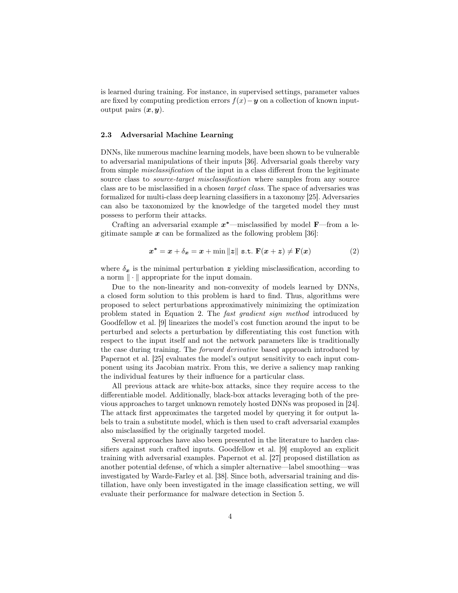is learned during training. For instance, in supervised settings, parameter values are fixed by computing prediction errors  $f(x) - y$  on a collection of known inputoutput pairs  $(x, y)$ .

### 2.3 Adversarial Machine Learning

DNNs, like numerous machine learning models, have been shown to be vulnerable to adversarial manipulations of their inputs [36]. Adversarial goals thereby vary from simple misclassification of the input in a class different from the legitimate source class to *source-target misclassification* where samples from any source class are to be misclassified in a chosen target class. The space of adversaries was formalized for multi-class deep learning classifiers in a taxonomy [25]. Adversaries can also be taxonomized by the knowledge of the targeted model they must possess to perform their attacks.

Crafting an adversarial example  $x^*$ —misclassified by model **F**—from a legitimate sample  $x$  can be formalized as the following problem [36]:

$$
x^* = x + \delta_x = x + \min \|z\| \text{ s.t. } \mathbf{F}(x+z) \neq \mathbf{F}(x)
$$
 (2)

where  $\delta_x$  is the minimal perturbation z yielding misclassification, according to a norm  $\|\cdot\|$  appropriate for the input domain.

Due to the non-linearity and non-convexity of models learned by DNNs, a closed form solution to this problem is hard to find. Thus, algorithms were proposed to select perturbations approximatively minimizing the optimization problem stated in Equation 2. The fast gradient sign method introduced by Goodfellow et al. [9] linearizes the model's cost function around the input to be perturbed and selects a perturbation by differentiating this cost function with respect to the input itself and not the network parameters like is traditionally the case during training. The forward derivative based approach introduced by Papernot et al. [25] evaluates the model's output sensitivity to each input component using its Jacobian matrix. From this, we derive a saliency map ranking the individual features by their influence for a particular class.

All previous attack are white-box attacks, since they require access to the differentiable model. Additionally, black-box attacks leveraging both of the previous approaches to target unknown remotely hosted DNNs was proposed in [24]. The attack first approximates the targeted model by querying it for output labels to train a substitute model, which is then used to craft adversarial examples also misclassified by the originally targeted model.

Several approaches have also been presented in the literature to harden classifiers against such crafted inputs. Goodfellow et al. [9] employed an explicit training with adversarial examples. Papernot et al. [27] proposed distillation as another potential defense, of which a simpler alternative—label smoothing—was investigated by Warde-Farley et al. [38]. Since both, adversarial training and distillation, have only been investigated in the image classification setting, we will evaluate their performance for malware detection in Section 5.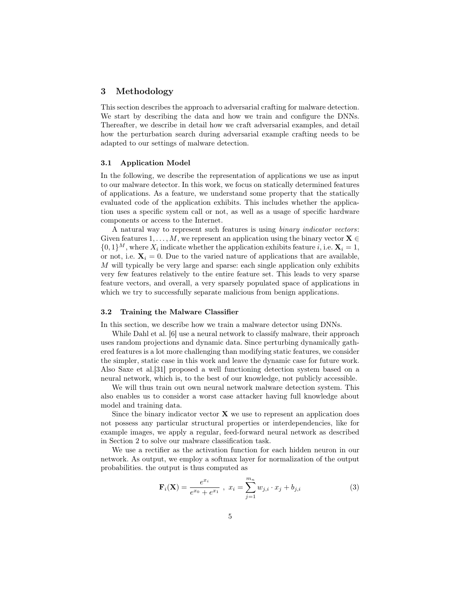## 3 Methodology

This section describes the approach to adversarial crafting for malware detection. We start by describing the data and how we train and configure the DNNs. Thereafter, we describe in detail how we craft adversarial examples, and detail how the perturbation search during adversarial example crafting needs to be adapted to our settings of malware detection.

#### 3.1 Application Model

In the following, we describe the representation of applications we use as input to our malware detector. In this work, we focus on statically determined features of applications. As a feature, we understand some property that the statically evaluated code of the application exhibits. This includes whether the application uses a specific system call or not, as well as a usage of specific hardware components or access to the Internet.

A natural way to represent such features is using binary indicator vectors: Given features  $1, \ldots, M$ , we represent an application using the binary vector  $\mathbf{X} \in \mathcal{X}$  $\{0,1\}^M$ , where  $X_i$  indicate whether the application exhibits feature i, i.e.  $\mathbf{X}_i = 1$ , or not, i.e.  $X_i = 0$ . Due to the varied nature of applications that are available, M will typically be very large and sparse: each single application only exhibits very few features relatively to the entire feature set. This leads to very sparse feature vectors, and overall, a very sparsely populated space of applications in which we try to successfully separate malicious from benign applications.

#### 3.2 Training the Malware Classifier

In this section, we describe how we train a malware detector using DNNs.

While Dahl et al. [6] use a neural network to classify malware, their approach uses random projections and dynamic data. Since perturbing dynamically gathered features is a lot more challenging than modifying static features, we consider the simpler, static case in this work and leave the dynamic case for future work. Also Saxe et al.[31] proposed a well functioning detection system based on a neural network, which is, to the best of our knowledge, not publicly accessible.

We will thus train out own neural network malware detection system. This also enables us to consider a worst case attacker having full knowledge about model and training data.

Since the binary indicator vector  $\bf{X}$  we use to represent an application does not possess any particular structural properties or interdependencies, like for example images, we apply a regular, feed-forward neural network as described in Section 2 to solve our malware classification task.

We use a rectifier as the activation function for each hidden neuron in our network. As output, we employ a softmax layer for normalization of the output probabilities. the output is thus computed as

$$
\mathbf{F}_{i}(\mathbf{X}) = \frac{e^{x_{i}}}{e^{x_{0}} + e^{x_{1}}}, \ x_{i} = \sum_{j=1}^{m_{n}} w_{j,i} \cdot x_{j} + b_{j,i}
$$
(3)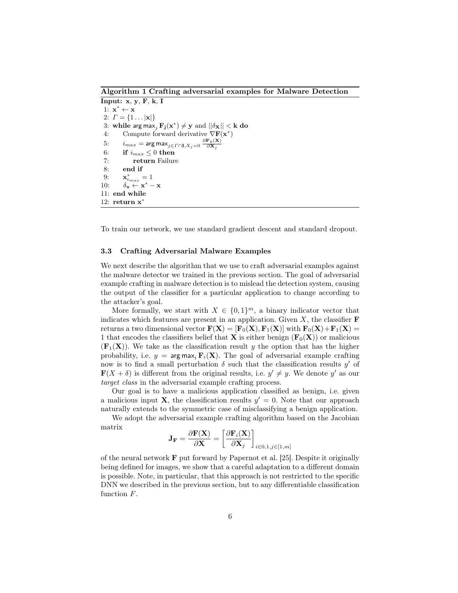Algorithm 1 Crafting adversarial examples for Malware Detection

Input:  $x, y, F, k, I$ 1:  $\mathbf{x}^* \leftarrow \mathbf{x}$ 2:  $\Gamma = \{1 \dots |\mathbf{x}|\}$ 3: while  $\arg \max_j \mathbf{F_j}(\mathbf{x}^*) \neq \mathbf{y}$  and  $||\delta \mathbf{x}|| < \mathbf{k}$  do 4: Compute forward derivative  $\nabla \mathbf{F}(\mathbf{x}^*)$  $5: \qquad i_{max} = \textsf{arg}\max_{j \in \varGamma \cap \mathbf{I}, X_j = 0} \frac{\partial \mathbf{F}_y(\mathbf{X})}{\partial \mathbf{X}_j}$ 6: if  $i_{max} \leq 0$  then 7: return Failure 8: end if 9:  $\mathbf{x}_{i_{max}}^* = 1$ 10:  $\delta_{\mathbf{x}} \leftarrow \mathbf{x}^* - \mathbf{x}$ 11: end while 12: return x ∗

To train our network, we use standard gradient descent and standard dropout.

## 3.3 Crafting Adversarial Malware Examples

We next describe the algorithm that we use to craft adversarial examples against the malware detector we trained in the previous section. The goal of adversarial example crafting in malware detection is to mislead the detection system, causing the output of the classifier for a particular application to change according to the attacker's goal.

More formally, we start with  $X \in \{0,1\}^m$ , a binary indicator vector that indicates which features are present in an application. Given  $X$ , the classifier  $\bf{F}$ returns a two dimensional vector  $F(X) = [F_0(X), F_1(X)]$  with  $F_0(X) + F_1(X) =$ 1 that encodes the classifiers belief that **X** is either benign  $(\mathbf{F}_0(\mathbf{X}))$  or malicious  $(F_1(X))$ . We take as the classification result y the option that has the higher probability, i.e.  $y = \arg \max_i \mathbf{F}_i(\mathbf{X})$ . The goal of adversarial example crafting now is to find a small perturbation  $\delta$  such that the classification results  $y'$  of  $\mathbf{F}(X+\delta)$  is different from the original results, i.e.  $y' \neq y$ . We denote y' as our target class in the adversarial example crafting process.

Our goal is to have a malicious application classified as benign, i.e. given a malicious input **X**, the classification results  $y' = 0$ . Note that our approach naturally extends to the symmetric case of misclassifying a benign application.

We adopt the adversarial example crafting algorithm based on the Jacobian matrix

$$
\mathbf{J}_{\mathbf{F}} = \frac{\partial \mathbf{F}(\mathbf{X})}{\partial \mathbf{X}} = \left[\frac{\partial \mathbf{F}_i(\mathbf{X})}{\partial \mathbf{X}_j}\right]_{i \in 0, 1, j \in [1, m]}
$$

of the neural network  $\bf{F}$  put forward by Papernot et al. [25]. Despite it originally being defined for images, we show that a careful adaptation to a different domain is possible. Note, in particular, that this approach is not restricted to the specific DNN we described in the previous section, but to any differentiable classification function F.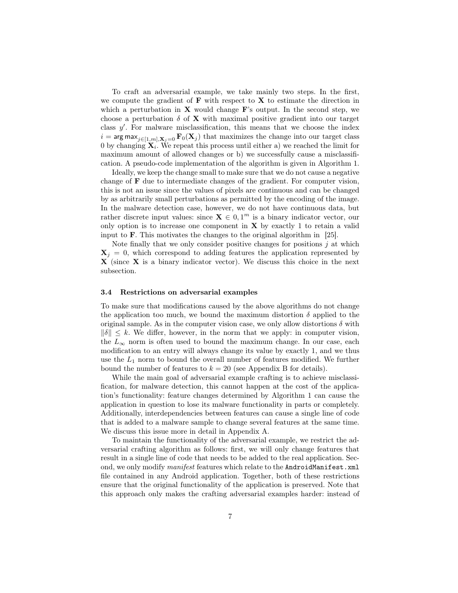To craft an adversarial example, we take mainly two steps. In the first, we compute the gradient of  $\bf{F}$  with respect to  $\bf{X}$  to estimate the direction in which a perturbation in **X** would change  $\mathbf{F}$ 's output. In the second step, we choose a perturbation  $\delta$  of **X** with maximal positive gradient into our target class  $y'$ . For malware misclassification, this means that we choose the index  $i = \arg \max_{j \in [1,m], \mathbf{X}_j = 0} \mathbf{F}_0(\mathbf{X}_j)$  that maximizes the change into our target class 0 by changing  $\mathbf{X}_i$ . We repeat this process until either a) we reached the limit for maximum amount of allowed changes or b) we successfully cause a misclassification. A pseudo-code implementation of the algorithm is given in Algorithm 1.

Ideally, we keep the change small to make sure that we do not cause a negative change of F due to intermediate changes of the gradient. For computer vision, this is not an issue since the values of pixels are continuous and can be changed by as arbitrarily small perturbations as permitted by the encoding of the image. In the malware detection case, however, we do not have continuous data, but rather discrete input values: since  $X \in \{0, 1^m\}$  is a binary indicator vector, our only option is to increase one component in  $X$  by exactly 1 to retain a valid input to F. This motivates the changes to the original algorithm in [25].

Note finally that we only consider positive changes for positions  $j$  at which  $\mathbf{X}_j = 0$ , which correspond to adding features the application represented by  $X$  (since  $X$  is a binary indicator vector). We discuss this choice in the next subsection.

#### 3.4 Restrictions on adversarial examples

To make sure that modifications caused by the above algorithms do not change the application too much, we bound the maximum distortion  $\delta$  applied to the original sample. As in the computer vision case, we only allow distortions  $\delta$  with  $\|\delta\| \leq k$ . We differ, however, in the norm that we apply: in computer vision, the  $L_{\infty}$  norm is often used to bound the maximum change. In our case, each modification to an entry will always change its value by exactly 1, and we thus use the  $L_1$  norm to bound the overall number of features modified. We further bound the number of features to  $k = 20$  (see Appendix B for details).

While the main goal of adversarial example crafting is to achieve misclassification, for malware detection, this cannot happen at the cost of the application's functionality: feature changes determined by Algorithm 1 can cause the application in question to lose its malware functionality in parts or completely. Additionally, interdependencies between features can cause a single line of code that is added to a malware sample to change several features at the same time. We discuss this issue more in detail in Appendix A.

To maintain the functionality of the adversarial example, we restrict the adversarial crafting algorithm as follows: first, we will only change features that result in a single line of code that needs to be added to the real application. Second, we only modify manifest features which relate to the AndroidManifest.xml file contained in any Android application. Together, both of these restrictions ensure that the original functionality of the application is preserved. Note that this approach only makes the crafting adversarial examples harder: instead of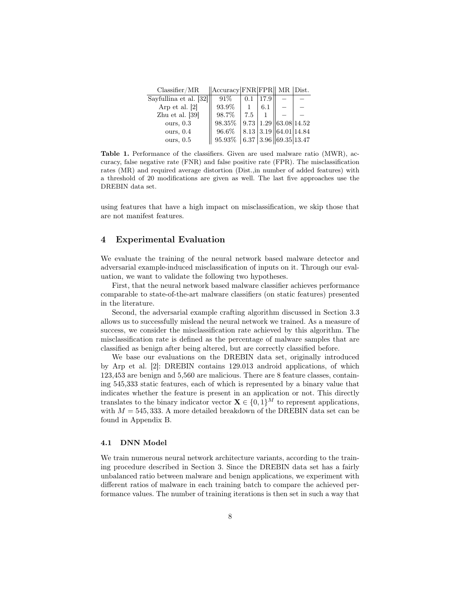| $\text{Classifier}/\text{MR}$ | $\left\  \text{Accuracy}   \text{FNR}   \text{FPR} \right\ $ MR $\left  \text{Dist.} \right $ |     |      |                                                             |  |
|-------------------------------|-----------------------------------------------------------------------------------------------|-----|------|-------------------------------------------------------------|--|
| Sayfullina et al. [32]        | 91%                                                                                           | 0.1 | 17.9 |                                                             |  |
| Arp et al. $[2]$              | $93.9\%$                                                                                      |     | 6.1  |                                                             |  |
| Zhu et al. $[39]$             | 98.7%                                                                                         | 7.5 |      |                                                             |  |
| ours, 0.3                     | 98.35%                                                                                        |     |      | $\vert 9.73 \vert 1.29 \vert \vert 63.08 \vert 14.52 \vert$ |  |
| ours, 0.4                     | 96.6%                                                                                         |     |      | $8.13 \mid 3.19 \mid 64.01 \mid 14.84$                      |  |
| ours, $0.5$                   | 95.93%                                                                                        |     |      | $\vert 6.37 \vert 3.96 \vert \vert 69.35 \vert 13.47$       |  |

Table 1. Performance of the classifiers. Given are used malware ratio (MWR), accuracy, false negative rate (FNR) and false positive rate (FPR). The misclassification rates (MR) and required average distortion (Dist.,in number of added features) with a threshold of 20 modifications are given as well. The last five approaches use the DREBIN data set.

using features that have a high impact on misclassification, we skip those that are not manifest features.

# 4 Experimental Evaluation

We evaluate the training of the neural network based malware detector and adversarial example-induced misclassification of inputs on it. Through our evaluation, we want to validate the following two hypotheses.

First, that the neural network based malware classifier achieves performance comparable to state-of-the-art malware classifiers (on static features) presented in the literature.

Second, the adversarial example crafting algorithm discussed in Section 3.3 allows us to successfully mislead the neural network we trained. As a measure of success, we consider the misclassification rate achieved by this algorithm. The misclassification rate is defined as the percentage of malware samples that are classified as benign after being altered, but are correctly classified before.

We base our evaluations on the DREBIN data set, originally introduced by Arp et al. [2]: DREBIN contains 129.013 android applications, of which 123,453 are benign and 5,560 are malicious. There are 8 feature classes, containing 545,333 static features, each of which is represented by a binary value that indicates whether the feature is present in an application or not. This directly translates to the binary indicator vector  $\mathbf{X} \in \{0,1\}^M$  to represent applications, with  $M = 545, 333$ . A more detailed breakdown of the DREBIN data set can be found in Appendix B.

#### 4.1 DNN Model

We train numerous neural network architecture variants, according to the training procedure described in Section 3. Since the DREBIN data set has a fairly unbalanced ratio between malware and benign applications, we experiment with different ratios of malware in each training batch to compare the achieved performance values. The number of training iterations is then set in such a way that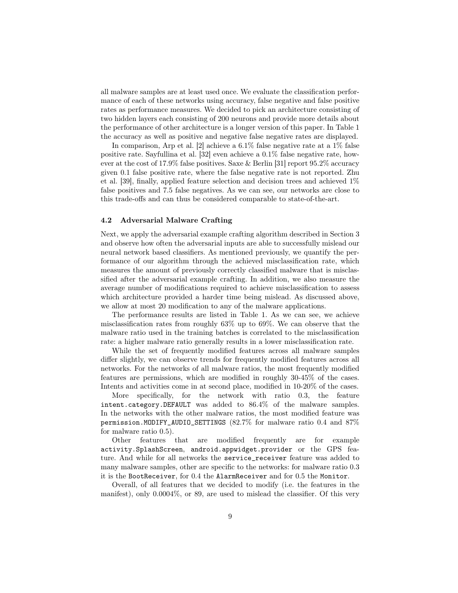all malware samples are at least used once. We evaluate the classification performance of each of these networks using accuracy, false negative and false positive rates as performance measures. We decided to pick an architecture consisting of two hidden layers each consisting of 200 neurons and provide more details about the performance of other architecture is a longer version of this paper. In Table 1 the accuracy as well as positive and negative false negative rates are displayed.

In comparison, Arp et al. [2] achieve a 6.1% false negative rate at a 1% false positive rate. Sayfullina et al. [32] even achieve a 0.1% false negative rate, however at the cost of 17.9% false positives. Saxe & Berlin [31] report 95.2% accuracy given 0.1 false positive rate, where the false negative rate is not reported. Zhu et al. [39], finally, applied feature selection and decision trees and achieved 1% false positives and 7.5 false negatives. As we can see, our networks are close to this trade-offs and can thus be considered comparable to state-of-the-art.

#### 4.2 Adversarial Malware Crafting

Next, we apply the adversarial example crafting algorithm described in Section 3 and observe how often the adversarial inputs are able to successfully mislead our neural network based classifiers. As mentioned previously, we quantify the performance of our algorithm through the achieved misclassification rate, which measures the amount of previously correctly classified malware that is misclassified after the adversarial example crafting. In addition, we also measure the average number of modifications required to achieve misclassification to assess which architecture provided a harder time being mislead. As discussed above, we allow at most 20 modification to any of the malware applications.

The performance results are listed in Table 1. As we can see, we achieve misclassification rates from roughly 63% up to 69%. We can observe that the malware ratio used in the training batches is correlated to the misclassification rate: a higher malware ratio generally results in a lower misclassification rate.

While the set of frequently modified features across all malware samples differ slightly, we can observe trends for frequently modified features across all networks. For the networks of all malware ratios, the most frequently modified features are permissions, which are modified in roughly 30-45% of the cases. Intents and activities come in at second place, modified in 10-20% of the cases.

More specifically, for the network with ratio 0.3, the feature intent.category.DEFAULT was added to 86.4% of the malware samples. In the networks with the other malware ratios, the most modified feature was permission.MODIFY\_AUDIO\_SETTINGS (82.7% for malware ratio 0.4 and 87% for malware ratio 0.5).

Other features that are modified frequently are for example activity.SplashScreen, android.appwidget.provider or the GPS feature. And while for all networks the service\_receiver feature was added to many malware samples, other are specific to the networks: for malware ratio 0.3 it is the BootReceiver, for 0.4 the AlarmReceiver and for 0.5 the Monitor.

Overall, of all features that we decided to modify (i.e. the features in the manifest), only 0.0004%, or 89, are used to mislead the classifier. Of this very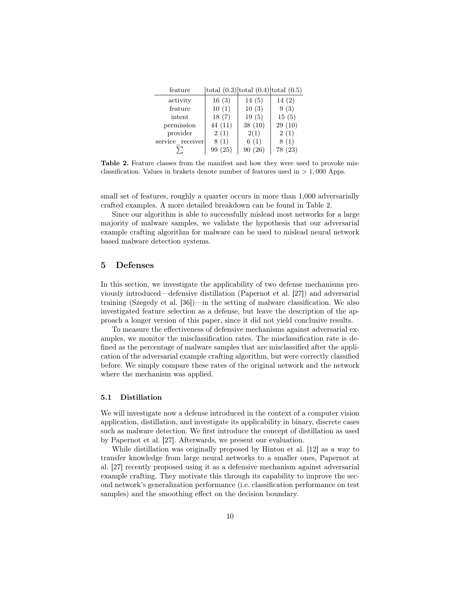| feature          | $ {\rm total} (0.3) {\rm total} (0.4) {\rm total} (0.5) $ |        |         |
|------------------|-----------------------------------------------------------|--------|---------|
| activity         | 16(3)                                                     | 14(5)  | 14(2)   |
| feature          | 10(1)                                                     | 10(3)  | 9(3)    |
| intent           | 18(7)                                                     | 19(5)  | 15(5)   |
| permission       | 44 (11)                                                   | 38(10) | 29(10)  |
| provider         | 2(1)                                                      | 2(1)   | 2(1)    |
| service receiver | 8(1)                                                      | 6(1)   | 8(1)    |
|                  | (25)                                                      | 90(26) | 78 (23) |

Table 2. Feature classes from the manifest and how they were used to provoke misclassification. Values in brakets denote number of features used in  $> 1,000$  Apps.

small set of features, roughly a quarter occurs in more than 1,000 adversarially crafted examples. A more detailed breakdown can be found in Table 2.

Since our algorithm is able to successfully mislead most networks for a large majority of malware samples, we validate the hypothesis that our adversarial example crafting algorithm for malware can be used to mislead neural network based malware detection systems.

## 5 Defenses

In this section, we investigate the applicability of two defense mechanisms previously introduced—defensive distillation (Papernot et al. [27]) and adversarial training (Szegedy et al. [36])—in the setting of malware classification. We also investigated feature selection as a defense, but leave the description of the approach a longer version of this paper, since it did not yield conclusive results.

To measure the effectiveness of defensive mechanisms against adversarial examples, we monitor the misclassification rates. The misclassification rate is defined as the percentage of malware samples that are misclassified after the application of the adversarial example crafting algorithm, but were correctly classified before. We simply compare these rates of the original network and the network where the mechanism was applied.

#### 5.1 Distillation

We will investigate now a defense introduced in the context of a computer vision application, distillation, and investigate its applicability in binary, discrete cases such as malware detection. We first introduce the concept of distillation as used by Papernot et al. [27]. Afterwards, we present our evaluation.

While distillation was originally proposed by Hinton et al. [12] as a way to transfer knowledge from large neural networks to a smaller ones, Papernot at al. [27] recently proposed using it as a defensive mechanism against adversarial example crafting. They motivate this through its capability to improve the second network's generalization performance (i.e. classification performance on test samples) and the smoothing effect on the decision boundary.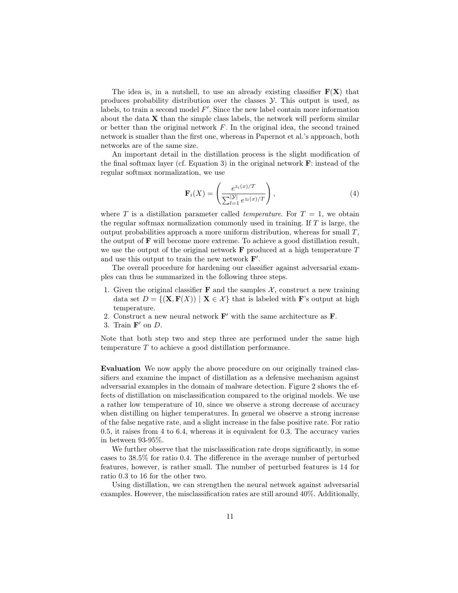The idea is, in a nutshell, to use an already existing classifier  $F(X)$  that produces probability distribution over the classes  $\mathcal Y$ . This output is used, as labels, to train a second model  $F'$ . Since the new label contain more information about the data  $X$  than the simple class labels, the network will perform similar or better than the original network  $F$ . In the original idea, the second trained network is smaller than the first one, whereas in Papernot et al.'s approach, both networks are of the same size.

An important detail in the distillation process is the slight modification of the final softmax layer (cf. Equation 3) in the original network  $\bf{F}$ : instead of the regular softmax normalization, we use

$$
\mathbf{F}_i(X) = \left(\frac{e^{z_i(x)/T}}{\sum_{l=1}^{|\mathcal{Y}|} e^{z_l(x)/T}}\right),\tag{4}
$$

where T is a distillation parameter called *temperature*. For  $T = 1$ , we obtain the regular softmax normalization commonly used in training. If  $T$  is large, the output probabilities approach a more uniform distribution, whereas for small  $T$ , the output of F will become more extreme. To achieve a good distillation result, we use the output of the original network  $\bf{F}$  produced at a high temperature  $T$ and use this output to train the new network  $\mathbf{F}'$ .

The overall procedure for hardening our classifier against adversarial examples can thus be summarized in the following three steps.

- 1. Given the original classifier **F** and the samples  $\mathcal{X}$ , construct a new training data set  $D = \{(\mathbf{X}, \mathbf{F}(X)) \mid \mathbf{X} \in \mathcal{X}\}\)$  that is labeled with **F**'s output at high temperature.
- 2. Construct a new neural network  $\mathbf{F}'$  with the same architecture as  $\mathbf{F}$ .
- 3. Train  $\mathbf{F}'$  on  $D$ .

Note that both step two and step three are performed under the same high temperature T to achieve a good distillation performance.

Evaluation We now apply the above procedure on our originally trained classifiers and examine the impact of distillation as a defensive mechanism against adversarial examples in the domain of malware detection. Figure 2 shows the effects of distillation on misclassification compared to the original models. We use a rather low temperature of 10, since we observe a strong decrease of accuracy when distilling on higher temperatures. In general we observe a strong increase of the false negative rate, and a slight increase in the false positive rate. For ratio 0.5, it raises from 4 to 6.4, whereas it is equivalent for 0.3. The accuracy varies in between 93-95%.

We further observe that the misclassification rate drops significantly, in some cases to 38.5% for ratio 0.4. The difference in the average number of perturbed features, however, is rather small. The number of perturbed features is 14 for ratio 0.3 to 16 for the other two.

Using distillation, we can strengthen the neural network against adversarial examples. However, the misclassification rates are still around 40%. Additionally,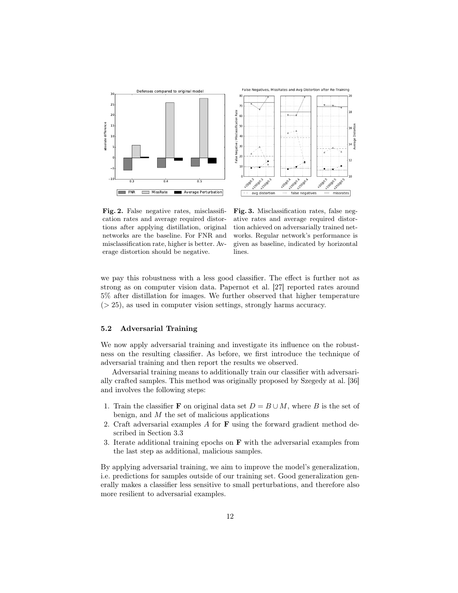



Fig. 2. False negative rates, misclassification rates and average required distortions after applying distillation, original networks are the baseline. For FNR and misclassification rate, higher is better. Average distortion should be negative.

Fig. 3. Misclassification rates, false negative rates and average required distortion achieved on adversarially trained networks. Regular network's performance is given as baseline, indicated by horizontal lines.

we pay this robustness with a less good classifier. The effect is further not as strong as on computer vision data. Papernot et al. [27] reported rates around 5% after distillation for images. We further observed that higher temperature  $(> 25)$ , as used in computer vision settings, strongly harms accuracy.

## 5.2 Adversarial Training

We now apply adversarial training and investigate its influence on the robustness on the resulting classifier. As before, we first introduce the technique of adversarial training and then report the results we observed.

Adversarial training means to additionally train our classifier with adversarially crafted samples. This method was originally proposed by Szegedy at al. [36] and involves the following steps:

- 1. Train the classifier **F** on original data set  $D = B \cup M$ , where B is the set of benign, and  $M$  the set of malicious applications
- 2. Craft adversarial examples A for F using the forward gradient method described in Section 3.3
- 3. Iterate additional training epochs on  $\bf{F}$  with the adversarial examples from the last step as additional, malicious samples.

By applying adversarial training, we aim to improve the model's generalization, i.e. predictions for samples outside of our training set. Good generalization generally makes a classifier less sensitive to small perturbations, and therefore also more resilient to adversarial examples.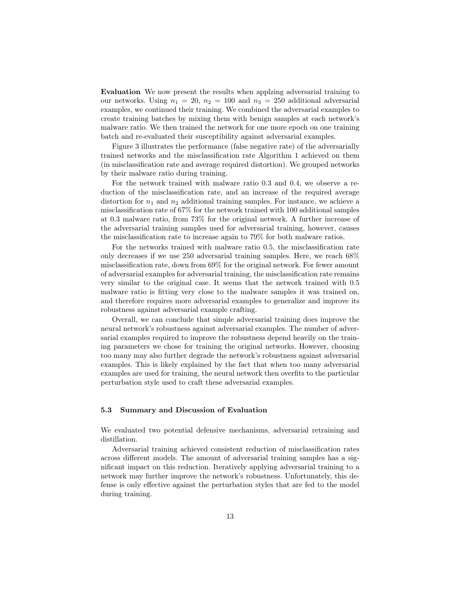Evaluation We now present the results when applzing adversarial training to our networks. Using  $n_1 = 20$ ,  $n_2 = 100$  and  $n_3 = 250$  additional adversarial examples, we continued their training. We combined the adversarial examples to create training batches by mixing them with benign samples at each network's malware ratio. We then trained the network for one more epoch on one training batch and re-evaluated their susceptibility against adversarial examples.

Figure 3 illustrates the performance (false negative rate) of the adversarially trained networks and the misclassification rate Algorithm 1 achieved on them (in misclassification rate and average required distortion). We grouped networks by their malware ratio during training.

For the network trained with malware ratio 0.3 and 0.4, we observe a reduction of the misclassification rate, and an increase of the required average distortion for  $n_1$  and  $n_2$  additional training samples. For instance, we achieve a misclassification rate of 67% for the network trained with 100 additional samples at 0.3 malware ratio, from 73% for the original network. A further increase of the adversarial training samples used for adversarial training, however, causes the misclassification rate to increase again to 79% for both malware ratios.

For the networks trained with malware ratio 0.5, the misclassification rate only decreases if we use 250 adversarial training samples. Here, we reach 68% misclassification rate, down from 69% for the original network. For fewer amount of adversarial examples for adversarial training, the misclassification rate remains very similar to the original case. It seems that the network trained with 0.5 malware ratio is fitting very close to the malware samples it was trained on, and therefore requires more adversarial examples to generalize and improve its robustness against adversarial example crafting.

Overall, we can conclude that simple adversarial training does improve the neural network's robustness against adversarial examples. The number of adversarial examples required to improve the robustness depend heavily on the training parameters we chose for training the original networks. However, choosing too many may also further degrade the network's robustness against adversarial examples. This is likely explained by the fact that when too many adversarial examples are used for training, the neural network then overfits to the particular perturbation style used to craft these adversarial examples.

#### 5.3 Summary and Discussion of Evaluation

We evaluated two potential defensive mechanisms, adversarial retraining and distillation.

Adversarial training achieved consistent reduction of misclassification rates across different models. The amount of adversarial training samples has a significant impact on this reduction. Iteratively applying adversarial training to a network may further improve the network's robustness. Unfortunately, this defense is only effective against the perturbation styles that are fed to the model during training.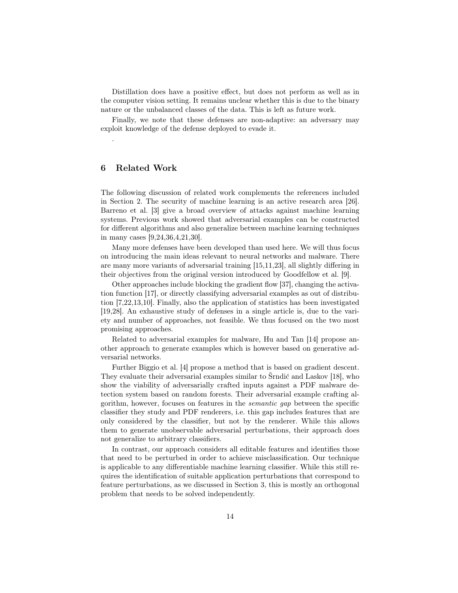Distillation does have a positive effect, but does not perform as well as in the computer vision setting. It remains unclear whether this is due to the binary nature or the unbalanced classes of the data. This is left as future work.

Finally, we note that these defenses are non-adaptive: an adversary may exploit knowledge of the defense deployed to evade it.

# 6 Related Work

.

The following discussion of related work complements the references included in Section 2. The security of machine learning is an active research area [26]. Barreno et al. [3] give a broad overview of attacks against machine learning systems. Previous work showed that adversarial examples can be constructed for different algorithms and also generalize between machine learning techniques in many cases [9,24,36,4,21,30].

Many more defenses have been developed than used here. We will thus focus on introducing the main ideas relevant to neural networks and malware. There are many more variants of adversarial training [15,11,23], all slightly differing in their objectives from the original version introduced by Goodfellow et al. [9].

Other approaches include blocking the gradient flow [37], changing the activation function [17], or directly classifying adversarial examples as out of distribution [7,22,13,10]. Finally, also the application of statistics has been investigated [19,28]. An exhaustive study of defenses in a single article is, due to the variety and number of approaches, not feasible. We thus focused on the two most promising approaches.

Related to adversarial examples for malware, Hu and Tan [14] propose another approach to generate examples which is however based on generative adversarial networks.

Further Biggio et al. [4] propose a method that is based on gradient descent. They evaluate their adversarial examples similar to Srndić and Laskov [18], who ˘ show the viability of adversarially crafted inputs against a PDF malware detection system based on random forests. Their adversarial example crafting algorithm, however, focuses on features in the semantic gap between the specific classifier they study and PDF renderers, i.e. this gap includes features that are only considered by the classifier, but not by the renderer. While this allows them to generate unobservable adversarial perturbations, their approach does not generalize to arbitrary classifiers.

In contrast, our approach considers all editable features and identifies those that need to be perturbed in order to achieve misclassification. Our technique is applicable to any differentiable machine learning classifier. While this still requires the identification of suitable application perturbations that correspond to feature perturbations, as we discussed in Section 3, this is mostly an orthogonal problem that needs to be solved independently.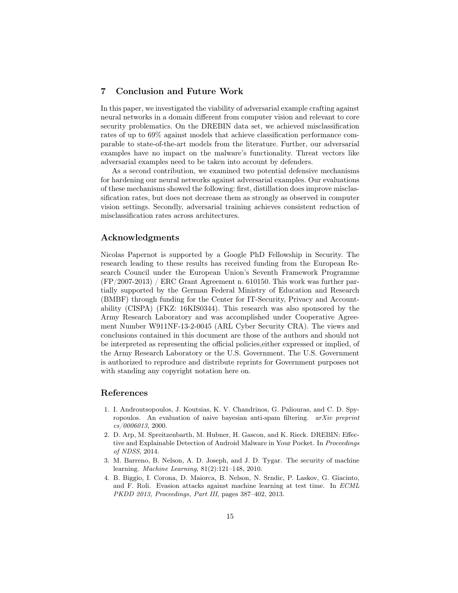# 7 Conclusion and Future Work

In this paper, we investigated the viability of adversarial example crafting against neural networks in a domain different from computer vision and relevant to core security problematics. On the DREBIN data set, we achieved misclassification rates of up to 69% against models that achieve classification performance comparable to state-of-the-art models from the literature. Further, our adversarial examples have no impact on the malware's functionality. Threat vectors like adversarial examples need to be taken into account by defenders.

As a second contribution, we examined two potential defensive mechanisms for hardening our neural networks against adversarial examples. Our evaluations of these mechanisms showed the following: first, distillation does improve misclassification rates, but does not decrease them as strongly as observed in computer vision settings. Secondly, adversarial training achieves consistent reduction of misclassification rates across architectures.

# Acknowledgments

Nicolas Papernot is supported by a Google PhD Fellowship in Security. The research leading to these results has received funding from the European Research Council under the European Union's Seventh Framework Programme  $(FP/2007-2013)$  / ERC Grant Agreement n. 610150. This work was further partially supported by the German Federal Ministry of Education and Research (BMBF) through funding for the Center for IT-Security, Privacy and Accountability (CISPA) (FKZ: 16KIS0344). This research was also sponsored by the Army Research Laboratory and was accomplished under Cooperative Agreement Number W911NF-13-2-0045 (ARL Cyber Security CRA). The views and conclusions contained in this document are those of the authors and should not be interpreted as representing the official policies,either expressed or implied, of the Army Research Laboratory or the U.S. Government. The U.S. Government is authorized to reproduce and distribute reprints for Government purposes not with standing any copyright notation here on.

## References

- 1. I. Androutsopoulos, J. Koutsias, K. V. Chandrinos, G. Paliouras, and C. D. Spyropoulos. An evaluation of naive bayesian anti-spam filtering. arXiv preprint cs/0006013, 2000.
- 2. D. Arp, M. Spreitzenbarth, M. Hubner, H. Gascon, and K. Rieck. DREBIN: Effective and Explainable Detection of Android Malware in Your Pocket. In Proceedings of NDSS, 2014.
- 3. M. Barreno, B. Nelson, A. D. Joseph, and J. D. Tygar. The security of machine learning. Machine Learning, 81(2):121–148, 2010.
- 4. B. Biggio, I. Corona, D. Maiorca, B. Nelson, N. Srndic, P. Laskov, G. Giacinto, and F. Roli. Evasion attacks against machine learning at test time. In ECML PKDD 2013, Proceedings, Part III, pages 387–402, 2013.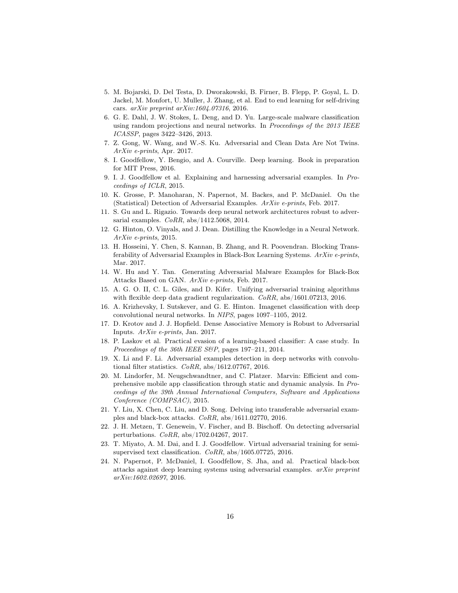- 5. M. Bojarski, D. Del Testa, D. Dworakowski, B. Firner, B. Flepp, P. Goyal, L. D. Jackel, M. Monfort, U. Muller, J. Zhang, et al. End to end learning for self-driving cars. arXiv preprint arXiv:1604.07316, 2016.
- 6. G. E. Dahl, J. W. Stokes, L. Deng, and D. Yu. Large-scale malware classification using random projections and neural networks. In Proceedings of the 2013 IEEE ICASSP, pages 3422–3426, 2013.
- 7. Z. Gong, W. Wang, and W.-S. Ku. Adversarial and Clean Data Are Not Twins. ArXiv e-prints, Apr. 2017.
- 8. I. Goodfellow, Y. Bengio, and A. Courville. Deep learning. Book in preparation for MIT Press, 2016.
- 9. I. J. Goodfellow et al. Explaining and harnessing adversarial examples. In Proceedings of ICLR, 2015.
- 10. K. Grosse, P. Manoharan, N. Papernot, M. Backes, and P. McDaniel. On the (Statistical) Detection of Adversarial Examples. ArXiv e-prints, Feb. 2017.
- 11. S. Gu and L. Rigazio. Towards deep neural network architectures robust to adversarial examples.  $CoRR$ ,  $abs/1412.5068$ , 2014.
- 12. G. Hinton, O. Vinyals, and J. Dean. Distilling the Knowledge in a Neural Network. ArXiv e-prints, 2015.
- 13. H. Hosseini, Y. Chen, S. Kannan, B. Zhang, and R. Poovendran. Blocking Transferability of Adversarial Examples in Black-Box Learning Systems. ArXiv e-prints, Mar. 2017.
- 14. W. Hu and Y. Tan. Generating Adversarial Malware Examples for Black-Box Attacks Based on GAN. ArXiv e-prints, Feb. 2017.
- 15. A. G. O. II, C. L. Giles, and D. Kifer. Unifying adversarial training algorithms with flexible deep data gradient regularization.  $CoRR$ , abs/1601.07213, 2016.
- 16. A. Krizhevsky, I. Sutskever, and G. E. Hinton. Imagenet classification with deep convolutional neural networks. In NIPS, pages 1097–1105, 2012.
- 17. D. Krotov and J. J. Hopfield. Dense Associative Memory is Robust to Adversarial Inputs. ArXiv e-prints, Jan. 2017.
- 18. P. Laskov et al. Practical evasion of a learning-based classifier: A case study. In Proceedings of the 36th IEEE S&P, pages 197-211, 2014.
- 19. X. Li and F. Li. Adversarial examples detection in deep networks with convolutional filter statistics. CoRR, abs/1612.07767, 2016.
- 20. M. Lindorfer, M. Neugschwandtner, and C. Platzer. Marvin: Efficient and comprehensive mobile app classification through static and dynamic analysis. In Proceedings of the 39th Annual International Computers, Software and Applications Conference (COMPSAC), 2015.
- 21. Y. Liu, X. Chen, C. Liu, and D. Song. Delving into transferable adversarial examples and black-box attacks. CoRR, abs/1611.02770, 2016.
- 22. J. H. Metzen, T. Genewein, V. Fischer, and B. Bischoff. On detecting adversarial perturbations. CoRR, abs/1702.04267, 2017.
- 23. T. Miyato, A. M. Dai, and I. J. Goodfellow. Virtual adversarial training for semisupervised text classification. CoRR, abs/1605.07725, 2016.
- 24. N. Papernot, P. McDaniel, I. Goodfellow, S. Jha, and al. Practical black-box attacks against deep learning systems using adversarial examples. arXiv preprint arXiv:1602.02697, 2016.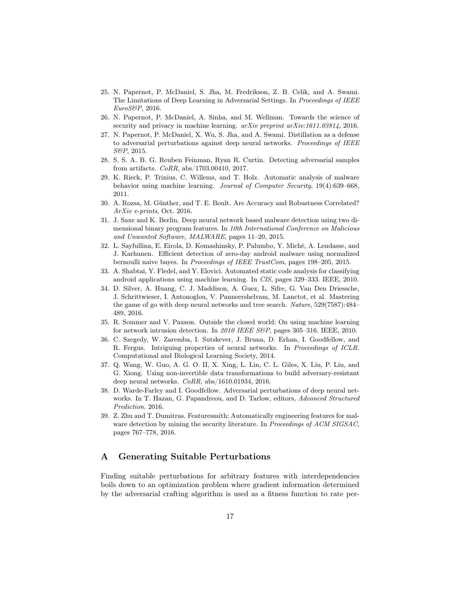- 25. N. Papernot, P. McDaniel, S. Jha, M. Fredrikson, Z. B. Celik, and A. Swami. The Limitations of Deep Learning in Adversarial Settings. In Proceedings of IEEE EuroS&P, 2016.
- 26. N. Papernot, P. McDaniel, A. Sinha, and M. Wellman. Towards the science of security and privacy in machine learning. *arXiv preprint arXiv:1611.03814*, 2016.
- 27. N. Papernot, P. McDaniel, X. Wu, S. Jha, and A. Swami. Distillation as a defense to adversarial perturbations against deep neural networks. Proceedings of IEEE S&P, 2015.
- 28. S. S. A. B. G. Reuben Feinman, Ryan R. Curtin. Detecting adversarial samples from artifacts. CoRR, abs/1703.00410, 2017.
- 29. K. Rieck, P. Trinius, C. Willems, and T. Holz. Automatic analysis of malware behavior using machine learning. Journal of Computer Security, 19(4):639–668, 2011.
- 30. A. Rozsa, M. Günther, and T. E. Boult. Are Accuracy and Robustness Correlated? ArXiv e-prints, Oct. 2016.
- 31. J. Saxe and K. Berlin. Deep neural network based malware detection using two dimensional binary program features. In 10th International Conference on Malicious and Unwanted Software, MALWARE, pages 11–20, 2015.
- 32. L. Sayfullina, E. Eirola, D. Komashinsky, P. Palumbo, Y. Miché, A. Lendasse, and J. Karhunen. Efficient detection of zero-day android malware using normalized bernoulli naive bayes. In Proceedings of IEEE TrustCom, pages 198–205, 2015.
- 33. A. Shabtai, Y. Fledel, and Y. Elovici. Automated static code analysis for classifying android applications using machine learning. In CIS, pages 329–333. IEEE, 2010.
- 34. D. Silver, A. Huang, C. J. Maddison, A. Guez, L. Sifre, G. Van Den Driessche, J. Schrittwieser, I. Antonoglou, V. Panneershelvam, M. Lanctot, et al. Mastering the game of go with deep neural networks and tree search. Nature, 529(7587):484– 489, 2016.
- 35. R. Sommer and V. Paxson. Outside the closed world: On using machine learning for network intrusion detection. In 2010 IEEE S&P, pages 305–316. IEEE, 2010.
- 36. C. Szegedy, W. Zaremba, I. Sutskever, J. Bruna, D. Erhan, I. Goodfellow, and R. Fergus. Intriguing properties of neural networks. In Proceedings of ICLR. Computational and Biological Learning Society, 2014.
- 37. Q. Wang, W. Guo, A. G. O. II, X. Xing, L. Lin, C. L. Giles, X. Liu, P. Liu, and G. Xiong. Using non-invertible data transformations to build adversary-resistant deep neural networks.  $CoRR$ , abs/1610.01934, 2016.
- 38. D. Warde-Farley and I. Goodfellow. Adversarial perturbations of deep neural networks. In T. Hazan, G. Papandreou, and D. Tarlow, editors, Advanced Structured Prediction. 2016.
- 39. Z. Zhu and T. Dumitras. Featuresmith: Automatically engineering features for malware detection by mining the security literature. In *Proceedings of ACM SIGSAC*, pages 767–778, 2016.

# A Generating Suitable Perturbations

Finding suitable perturbations for arbitrary features with interdependencies boils down to an optimization problem where gradient information determined by the adversarial crafting algorithm is used as a fitness function to rate per-